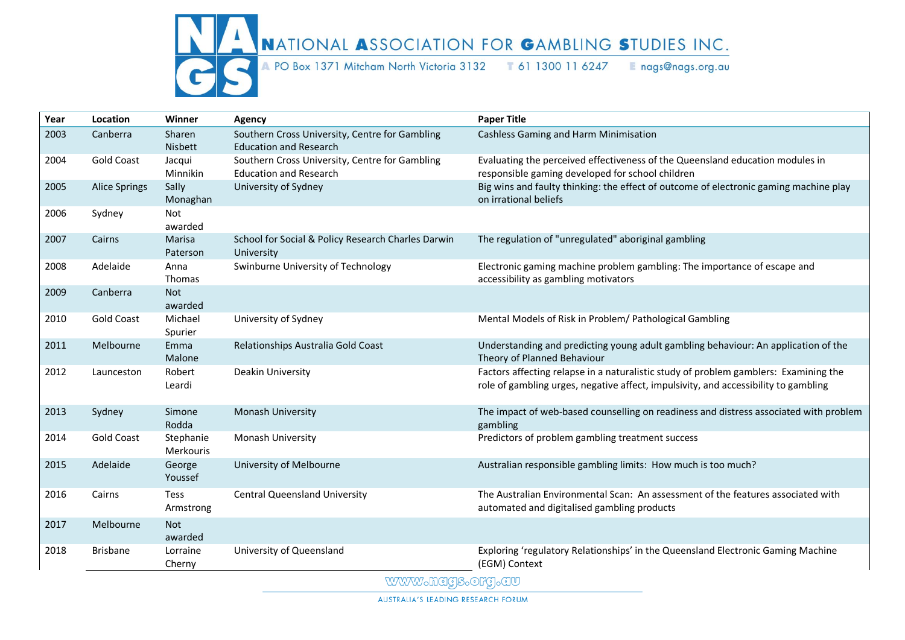

## NATIONAL ASSOCIATION FOR GAMBLING STUDIES INC.

A PO Box 1371 Mitcham North Victoria 3132 T 61 1300 11 6247 Enags@nags.org.au

| Year | Location             | Winner                   | Agency                                                                          | <b>Paper Title</b>                                                                                                                                                          |
|------|----------------------|--------------------------|---------------------------------------------------------------------------------|-----------------------------------------------------------------------------------------------------------------------------------------------------------------------------|
| 2003 | Canberra             | Sharen<br>Nisbett        | Southern Cross University, Centre for Gambling<br><b>Education and Research</b> | Cashless Gaming and Harm Minimisation                                                                                                                                       |
| 2004 | <b>Gold Coast</b>    | Jacqui<br>Minnikin       | Southern Cross University, Centre for Gambling<br><b>Education and Research</b> | Evaluating the perceived effectiveness of the Queensland education modules in<br>responsible gaming developed for school children                                           |
| 2005 | <b>Alice Springs</b> | Sally<br>Monaghan        | University of Sydney                                                            | Big wins and faulty thinking: the effect of outcome of electronic gaming machine play<br>on irrational beliefs                                                              |
| 2006 | Sydney               | Not<br>awarded           |                                                                                 |                                                                                                                                                                             |
| 2007 | Cairns               | Marisa<br>Paterson       | School for Social & Policy Research Charles Darwin<br>University                | The regulation of "unregulated" aboriginal gambling                                                                                                                         |
| 2008 | Adelaide             | Anna<br>Thomas           | Swinburne University of Technology                                              | Electronic gaming machine problem gambling: The importance of escape and<br>accessibility as gambling motivators                                                            |
| 2009 | Canberra             | <b>Not</b><br>awarded    |                                                                                 |                                                                                                                                                                             |
| 2010 | <b>Gold Coast</b>    | Michael<br>Spurier       | University of Sydney                                                            | Mental Models of Risk in Problem/ Pathological Gambling                                                                                                                     |
| 2011 | Melbourne            | Emma<br>Malone           | Relationships Australia Gold Coast                                              | Understanding and predicting young adult gambling behaviour: An application of the<br>Theory of Planned Behaviour                                                           |
| 2012 | Launceston           | Robert<br>Leardi         | Deakin University                                                               | Factors affecting relapse in a naturalistic study of problem gamblers: Examining the<br>role of gambling urges, negative affect, impulsivity, and accessibility to gambling |
| 2013 | Sydney               | Simone<br>Rodda          | Monash University                                                               | The impact of web-based counselling on readiness and distress associated with problem<br>gambling                                                                           |
| 2014 | <b>Gold Coast</b>    | Stephanie<br>Merkouris   | Monash University                                                               | Predictors of problem gambling treatment success                                                                                                                            |
| 2015 | Adelaide             | George<br>Youssef        | University of Melbourne                                                         | Australian responsible gambling limits: How much is too much?                                                                                                               |
| 2016 | Cairns               | <b>Tess</b><br>Armstrong | <b>Central Queensland University</b>                                            | The Australian Environmental Scan: An assessment of the features associated with<br>automated and digitalised gambling products                                             |
| 2017 | Melbourne            | Not<br>awarded           |                                                                                 |                                                                                                                                                                             |
| 2018 | <b>Brisbane</b>      | Lorraine<br>Cherny       | University of Queensland                                                        | Exploring 'regulatory Relationships' in the Queensland Electronic Gaming Machine<br>(EGM) Context                                                                           |

WWW.hags.org.au

AUSTRALIA'S LEADING RESEARCH FORUM